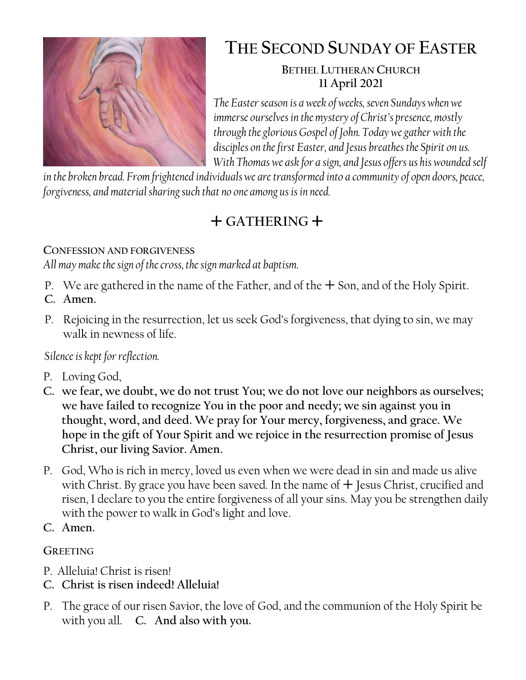

# **THE SECOND SUNDAY OF EASTER**

#### **BETHEL LUTHERAN CHURCH 11 April 2021**

*The Easter season is a week of weeks, seven Sundays when we immerse ourselves in the mystery of Christ's presence, mostly through the glorious Gospel of John. Today we gather with the disciples on the first Easter, and Jesus breathes the Spirit on us. With Thomas we ask for a sign, and Jesus offers us his wounded self* 

*in the broken bread. From frightened individuals we are transformed into a community of open doors, peace, forgiveness, and material sharing such that no one among us is in need.*

# $+$  GATHERING  $+$

### **CONFESSION AND FORGIVENESS**

*All may make the sign of the cross, the sign marked at baptism.*

- P. We are gathered in the name of the Father, and of the  $+$  Son, and of the Holy Spirit.
- **C. Amen.**
- P. Rejoicing in the resurrection, let us seek God's forgiveness, that dying to sin, we may walk in newness of life.

*Silence is kept for reflection.*

- P. Loving God,
- **C. we fear, we doubt, we do not trust You; we do not love our neighbors as ourselves; we have failed to recognize You in the poor and needy; we sin against you in thought, word, and deed. We pray for Your mercy, forgiveness, and grace. We hope in the gift of Your Spirit and we rejoice in the resurrection promise of Jesus Christ, our living Savior. Amen.**
- P. God, Who is rich in mercy, loved us even when we were dead in sin and made us alive with Christ. By grace you have been saved. In the name of  $+$  Jesus Christ, crucified and risen, I declare to you the entire forgiveness of all your sins. May you be strengthen daily with the power to walk in God's light and love.
- **C. Amen.**

# **GREETING**

- P. Alleluia! Christ is risen!
- **C. Christ is risen indeed! Alleluia!**
- P. The grace of our risen Savior, the love of God, and the communion of the Holy Spirit be with you all. **C. And also with you.**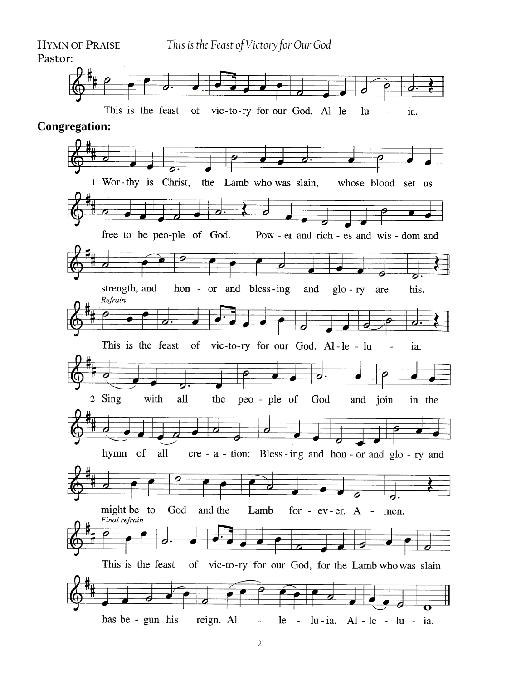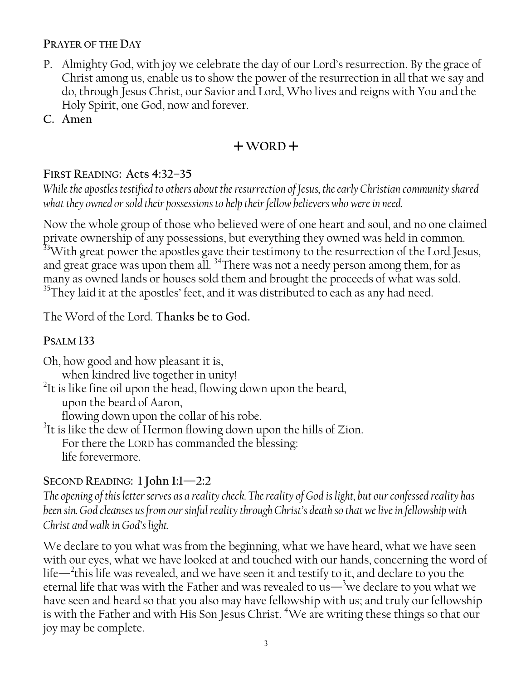#### **PRAYER OF THE DAY**

- P. Almighty God, with joy we celebrate the day of our Lord's resurrection. By the grace of Christ among us, enable us to show the power of the resurrection in all that we say and do, through Jesus Christ, our Savior and Lord, Who lives and reigns with You and the Holy Spirit, one God, now and forever.
- **C. Amen**

### $+$ WORD<sup> $+$ </sup>

#### **FIRST READING: Acts 4:32–35**

*While the apostles testified to others about the resurrection of Jesus, the early Christian community shared what they owned or sold their possessions to help their fellow believers who were in need.*

Now the whole group of those who believed were of one heart and soul, and no one claimed private ownership of any possessions, but everything they owned was held in common. <sup>33</sup>With great power the apostles gave their testimony to the resurrection of the Lord Jesus, and great grace was upon them all. <sup>34</sup>There was not a needy person among them, for as many as owned lands or houses sold them and brought the proceeds of what was sold.  $35$ They laid it at the apostles' feet, and it was distributed to each as any had need.

The Word of the Lord. **Thanks be to God.**

#### **PSALM 133**

Oh, how good and how pleasant it is, when kindred live together in unity! <sup>2</sup>It is like fine oil upon the head, flowing down upon the beard, upon the beard of Aaron, flowing down upon the collar of his robe.  $3$ It is like the dew of Hermon flowing down upon the hills of Zion. For there the LORD has commanded the blessing:

life forevermore.

#### **SECOND READING: 1 John 1:1—2:2**

*The opening of this letter serves as a reality check. The reality of God is light, but our confessed reality has been sin. God cleanses us from our sinful reality through Christ's death so that we live in fellowship with Christ and walk in God's light.*

We declare to you what was from the beginning, what we have heard, what we have seen with our eyes, what we have looked at and touched with our hands, concerning the word of life— $^2$ this life was revealed, and we have seen it and testify to it, and declare to you the eternal life that was with the Father and was revealed to us—<sup>3</sup>we declare to you what we have seen and heard so that you also may have fellowship with us; and truly our fellowship is with the Father and with His Son Jesus Christ. <sup>4</sup>We are writing these things so that our joy may be complete.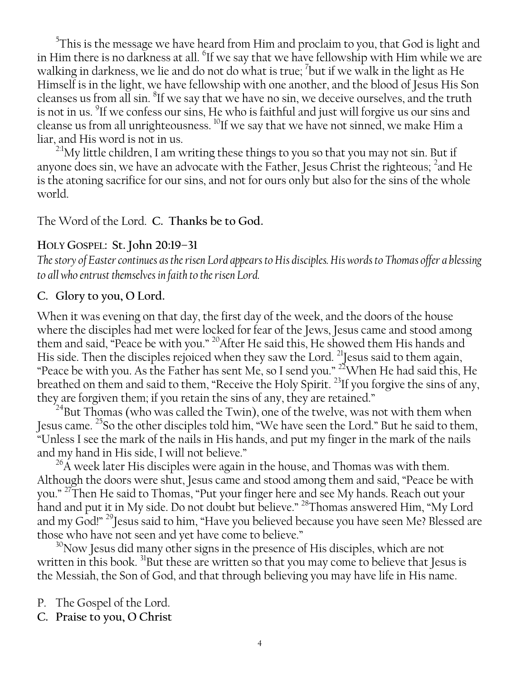$5$ This is the message we have heard from Him and proclaim to you, that God is light and in Him there is no darkness at all.  $\mathrm{^6H}$  we say that we have fellowship with Him while we are walking in darkness, we lie and do not do what is true;  $^7$ but if we walk in the light as He Himself is in the light, we have fellowship with one another, and the blood of Jesus His Son cleanses us from all sin.  ${}^{8}$ If we say that we have no sin, we deceive ourselves, and the truth is not in us.  $\mathrm{^9H}$  we confess our sins, He who is faithful and just will forgive us our sins and cleanse us from all unrighteousness. <sup>10</sup>If we say that we have not sinned, we make Him a liar, and His word is not in us.

 $^{2:1}$ My little children, I am writing these things to you so that you may not sin. But if anyone does sin, we have an advocate with the Father, Jesus Christ the righteous; <sup>2</sup> and He is the atoning sacrifice for our sins, and not for ours only but also for the sins of the whole world.

The Word of the Lord. **C. Thanks be to God.**

#### **HOLY GOSPEL: St. John 20:19–31**

*The story of Easter continues as the risen Lord appears to His disciples. His words to Thomas offer a blessing to all who entrust themselves in faith to the risen Lord.*

#### **C. Glory to you, O Lord.**

When it was evening on that day, the first day of the week, and the doors of the house where the disciples had met were locked for fear of the Jews, Jesus came and stood among them and said, "Peace be with you."  $^{20}\rm{After}$  He said this, He showed them His hands and  $\dot{}$ His side. Then the disciples rejoiced when they saw the Lord.  $^{21}$  Jesus said to them again, "Peace be with you. As the Father has sent Me, so I send you."  $^{22}$ When He had said this, He breathed on them and said to them, "Receive the Holy Spirit.<sup>23</sup>If you forgive the sins of any, they are forgiven them; if you retain the sins of any, they are retained."

<sup>24</sup>But Thomas (who was called the Twin), one of the twelve, was not with them when Jesus came. <sup>25</sup>So the other disciples told him, "We have seen the Lord." But he said to them, "Unless I see the mark of the nails in His hands, and put my finger in the mark of the nails and my hand in His side, I will not believe."

 $^{26}$ A week later His disciples were again in the house, and Thomas was with them. Although the doors were shut, Jesus came and stood among them and said, "Peace be with you." <sup>27</sup>Then He said to Thomas, "Put your finger here and see My hands. Reach out your hand and put it in My side. Do not doubt but believe." <sup>28</sup>Thomas answered Him, "My Lord and my God!" <sup>29</sup>Jesus said to him, "Have you believed because you have seen Me? Blessed are those who have not seen and yet have come to believe."

 $30$ Now Jesus did many other signs in the presence of His disciples, which are not written in this book. <sup>31</sup>But these are written so that you may come to believe that Jesus is the Messiah, the Son of God, and that through believing you may have life in His name.

P. The Gospel of the Lord.

**C. Praise to you, O Christ**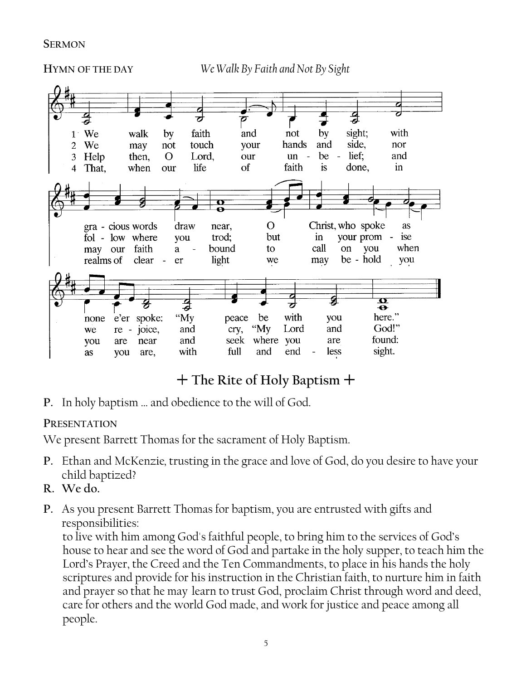**SERMON**



# **The Rite of Holy Baptism**

**P.** In holy baptism … and obedience to the will of God.

#### **PRESENTATION**

We present Barrett Thomas for the sacrament of Holy Baptism.

- **P.** Ethan and McKenzie*,* trusting in the grace and love of God, do you desire to have your child baptized?
- **R. We do.**
- **P.** As you present Barrett Thomas for baptism, you are entrusted with gifts and responsibilities:

to live with him among God's faithful people, to bring him to the services of God's house to hear and see the word of God and partake in the holy supper, to teach him the Lord's Prayer, the Creed and the Ten Commandments, to place in his hands the holy scriptures and provide for his instruction in the Christian faith, to nurture him in faith and prayer so that he may learn to trust God, proclaim Christ through word and deed, care for others and the world God made, and work for justice and peace among all people.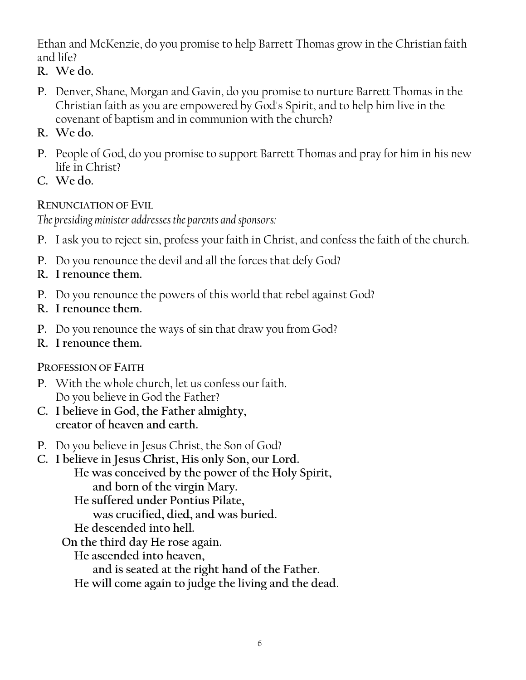Ethan and McKenzie, do you promise to help Barrett Thomas grow in the Christian faith and life?

- **R. We do.**
- **P.** Denver, Shane, Morgan and Gavin, do you promise to nurture Barrett Thomas in the Christian faith as you are empowered by God's Spirit, and to help him live in the covenant of baptism and in communion with the church?
- **R. We do.**
- **P.** People of God, do you promise to support Barrett Thomas and pray for him in his new life in Christ?
- **C. We do.**

#### **RENUNCIATION OF EVIL**

*The presiding minister addresses the parents and sponsors:*

- **P.** I ask you to reject sin, profess your faith in Christ, and confess the faith of the church.
- **P.** Do you renounce the devil and all the forces that defy God?
- **R. I renounce them.**
- **P.** Do you renounce the powers of this world that rebel against God?
- **R. I renounce them.**
- **P.** Do you renounce the ways of sin that draw you from God?
- **R. I renounce them.**

#### **PROFESSION OF FAITH**

- **P.** With the whole church, let us confess our faith. Do you believe in God the Father?
- **C. I believe in God, the Father almighty, creator of heaven and earth.**
- **P.** Do you believe in Jesus Christ, the Son of God?
- **C. I believe in Jesus Christ, His only Son, our Lord. He was conceived by the power of the Holy Spirit, and born of the virgin Mary. He suffered under Pontius Pilate, was crucified, died, and was buried. He descended into hell. On the third day He rose again. He ascended into heaven,**

**and is seated at the right hand of the Father.**

**He will come again to judge the living and the dead.**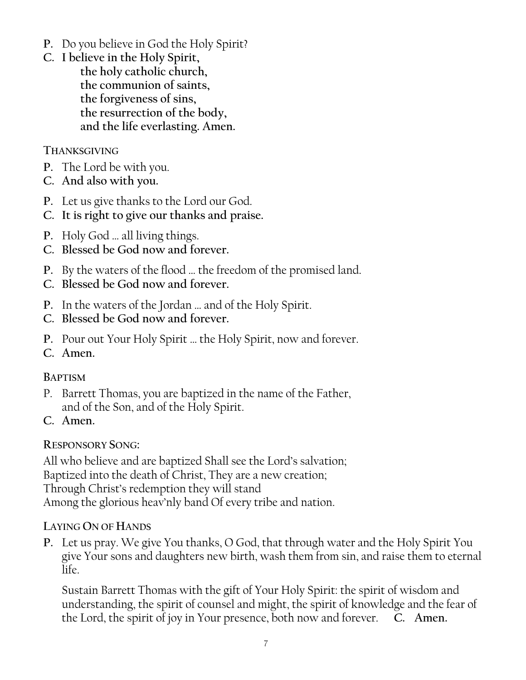- **P.** Do you believe in God the Holy Spirit?
- **C. I believe in the Holy Spirit, the holy catholic church, the communion of saints, the forgiveness of sins, the resurrection of the body, and the life everlasting. Amen.**

#### **THANKSGIVING**

- **P.** The Lord be with you.
- **C. And also with you.**
- **P.** Let us give thanks to the Lord our God.
- **C. It is right to give our thanks and praise.**
- **P.** Holy God … all living things.
- **C. Blessed be God now and forever.**
- **P.** By the waters of the flood … the freedom of the promised land.
- **C. Blessed be God now and forever.**
- **P.** In the waters of the Jordan … and of the Holy Spirit.
- **C. Blessed be God now and forever.**
- **P.** Pour out Your Holy Spirit … the Holy Spirit, now and forever.
- **C. Amen.**

#### **BAPTISM**

- P. Barrett Thomas, you are baptized in the name of the Father, and of the Son, and of the Holy Spirit.
- **C. Amen.**

#### **RESPONSORY SONG:**

All who believe and are baptized Shall see the Lord's salvation; Baptized into the death of Christ, They are a new creation; Through Christ's redemption they will stand Among the glorious heav'nly band Of every tribe and nation.

#### **LAYING ON OF HANDS**

**P.** Let us pray. We give You thanks, O God, that through water and the Holy Spirit You give Your sons and daughters new birth, wash them from sin, and raise them to eternal life.

Sustain Barrett Thomas with the gift of Your Holy Spirit: the spirit of wisdom and understanding, the spirit of counsel and might, the spirit of knowledge and the fear of the Lord, the spirit of joy in Your presence, both now and forever. **C. Amen.**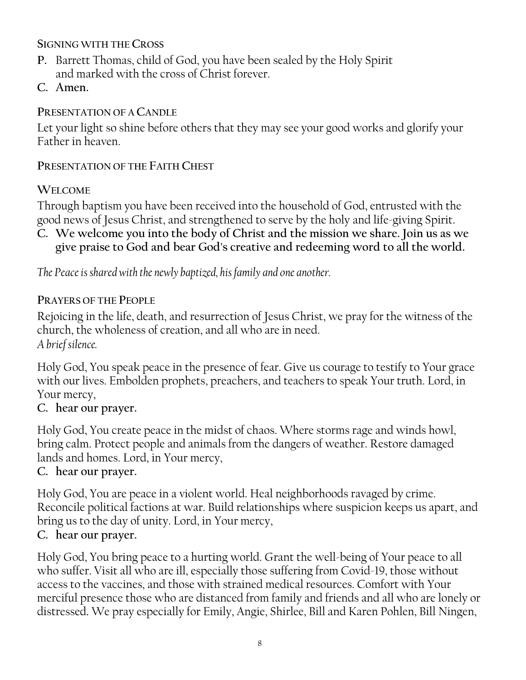#### **SIGNING WITH THE CROSS**

- **P.** Barrett Thomas, child of God, you have been sealed by the Holy Spirit and marked with the cross of Christ forever.
- **C. Amen.**

#### **PRESENTATION OF A CANDLE**

Let your light so shine before others that they may see your good works and glorify your Father in heaven.

#### **PRESENTATION OF THE FAITH CHEST**

#### **WELCOME**

Through baptism you have been received into the household of God, entrusted with the good news of Jesus Christ, and strengthened to serve by the holy and life-giving Spirit.

**C. We welcome you into the body of Christ and the mission we share. Join us as we give praise to God and bear God's creative and redeeming word to all the world.**

*The Peace is shared with the newly baptized, his family and one another.*

#### **PRAYERS OF THE PEOPLE**

Rejoicing in the life, death, and resurrection of Jesus Christ, we pray for the witness of the church, the wholeness of creation, and all who are in need. *A brief silence.*

Holy God, You speak peace in the presence of fear. Give us courage to testify to Your grace with our lives. Embolden prophets, preachers, and teachers to speak Your truth. Lord, in Your mercy,

#### **C. hear our prayer.**

Holy God, You create peace in the midst of chaos. Where storms rage and winds howl, bring calm. Protect people and animals from the dangers of weather. Restore damaged lands and homes. Lord, in Your mercy,

#### **C. hear our prayer.**

Holy God, You are peace in a violent world. Heal neighborhoods ravaged by crime. Reconcile political factions at war. Build relationships where suspicion keeps us apart, and bring us to the day of unity. Lord, in Your mercy,

#### **C. hear our prayer.**

Holy God, You bring peace to a hurting world. Grant the well-being of Your peace to all who suffer. Visit all who are ill, especially those suffering from Covid-19, those without access to the vaccines, and those with strained medical resources. Comfort with Your merciful presence those who are distanced from family and friends and all who are lonely or distressed. We pray especially for Emily, Angie, Shirlee, Bill and Karen Pohlen, Bill Ningen,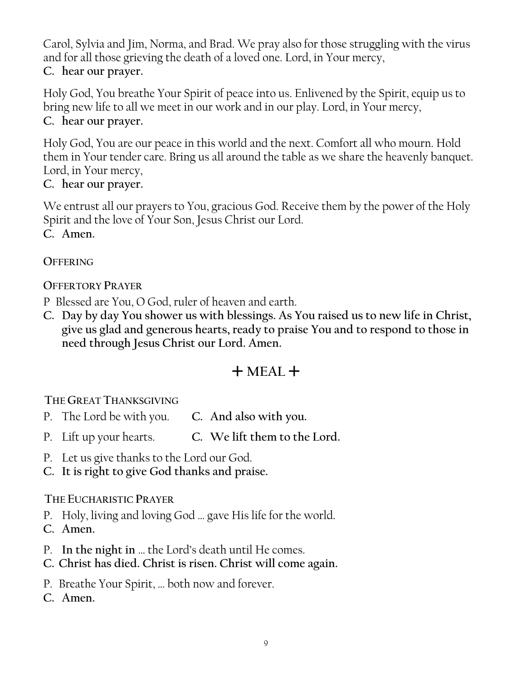Carol, Sylvia and Jim, Norma, and Brad. We pray also for those struggling with the virus and for all those grieving the death of a loved one. Lord, in Your mercy,

**C. hear our prayer.**

Holy God, You breathe Your Spirit of peace into us. Enlivened by the Spirit, equip us to bring new life to all we meet in our work and in our play. Lord, in Your mercy, **C. hear our prayer.**

Holy God, You are our peace in this world and the next. Comfort all who mourn. Hold them in Your tender care. Bring us all around the table as we share the heavenly banquet. Lord, in Your mercy,

**C. hear our prayer.**

We entrust all our prayers to You, gracious God. Receive them by the power of the Holy Spirit and the love of Your Son, Jesus Christ our Lord. **C. Amen.**

**OFFERING**

#### **OFFERTORY PRAYER**

- P Blessed are You, O God, ruler of heaven and earth.
- **C. Day by day You shower us with blessings. As You raised us to new life in Christ, give us glad and generous hearts, ready to praise You and to respond to those in need through Jesus Christ our Lord. Amen.**

# $+$  MEAL  $+$

**THE GREAT THANKSGIVING** 

- P. The Lord be with you. **C. And also with you.**
- P. Lift up your hearts. **C. We lift them to the Lord.**
- P. Let us give thanks to the Lord our God.
- **C. It is right to give God thanks and praise.**

#### **THE EUCHARISTIC PRAYER**

- P. Holy, living and loving God … gave His life for the world.
- **C. Amen.**
- P. **In the night in** … the Lord's death until He comes.
- **C. Christ has died. Christ is risen. Christ will come again.**
- P. Breathe Your Spirit, … both now and forever.
- **C. Amen.**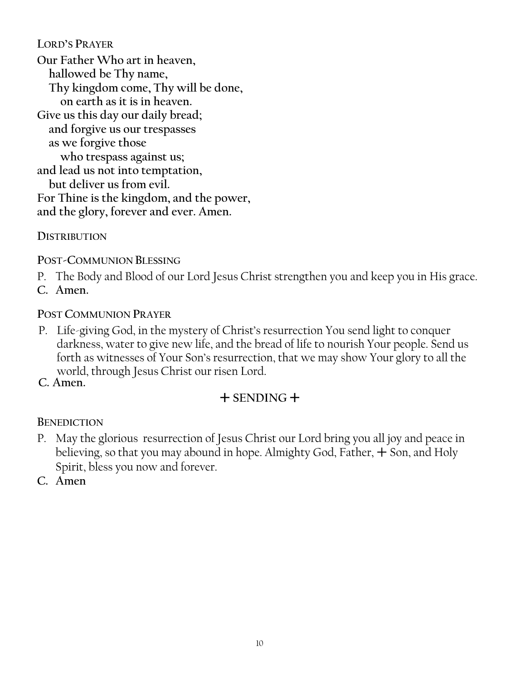**LORD'S PRAYER**

**Our Father Who art in heaven, hallowed be Thy name, Thy kingdom come, Thy will be done, on earth as it is in heaven. Give us this day our daily bread; and forgive us our trespasses as we forgive those who trespass against us; and lead us not into temptation, but deliver us from evil. For Thine is the kingdom, and the power, and the glory, forever and ever. Amen.**

#### **DISTRIBUTION**

**POST-COMMUNION BLESSING**

- P. The Body and Blood of our Lord Jesus Christ strengthen you and keep you in His grace.
- **C. Amen.**

#### **POST COMMUNION PRAYER**

- P. Life-giving God, in the mystery of Christ's resurrection You send light to conquer darkness, water to give new life, and the bread of life to nourish Your people. Send us forth as witnesses of Your Son's resurrection, that we may show Your glory to all the world, through Jesus Christ our risen Lord.
- **C. Amen.**

# $+$  SENDING  $+$

#### **BENEDICTION**

- P. May the glorious resurrection of Jesus Christ our Lord bring you all joy and peace in believing, so that you may abound in hope. Almighty God, Father,  $+$  Son, and Holy Spirit, bless you now and forever.
- **C. Amen**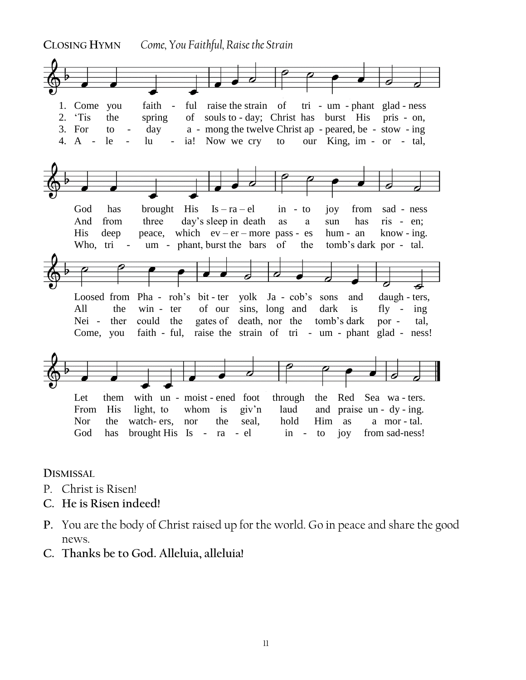

**DISMISSAL** 

- P. Christ is Risen!
- **C. He is Risen indeed!**
- **P.** You are the body of Christ raised up for the world. Go in peace and share the good news.
- **C. Thanks be to God. Alleluia, alleluia!**